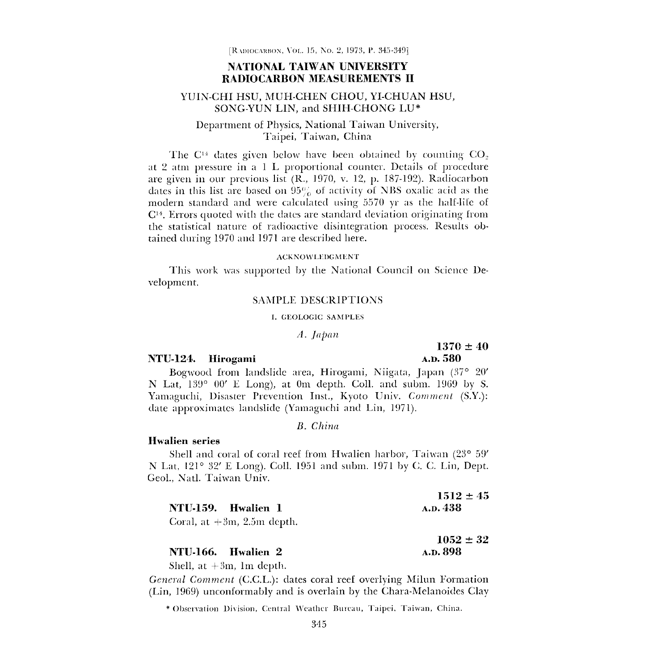## NATIONAL TAIWAN UNIVERSITY RADIOCARBON MEASUREMENTS II

#### YUIN-CHI HSU, MUH-CHEN CHOU, YI-CHUAN HSU, SONG-YUN LIN, and SHIH-CHONG LU\*

### Department of Physics, National Taiwan University, Taipei, Taiwan, China

The C<sup>14</sup> dates given below have been obtained by counting  $CO<sub>2</sub>$ at 2 atm pressure in a 1 L proportional counter. Details of procedure are given in our previous list (R., 1970, v. 12, p. 187-192). Radiocarbon dates in this list are based on  $95\%$  of activity of NBS oxalic acid as the modern standard and were calculated using 5570 yr as the half-life of  $C<sup>14</sup>$ . Errors quoted with the dates are standard deviation originating from the statistical nature of radioactive disintegration process. Results obtained during 1970 and 1971 are described here.

#### ACKNOWLEDGMENT

This work was supported by the National Council on Science Development.

#### SAMPLE DESCRIPTIONS

#### 1. GLOLOGIC SAMPLES

#### A. Japan

#### NTU-124. Hirogami A.D. 580

# $1370 \pm 40$

Bogwood from landslide area, Hirogami, Niigata, Japan (37° 20' N Lat, 139° 00' E Long), at Om depth. Coll. and subm. 1969 by S. Yamaguchi, Disaster Prevention Inst., Kyoto Univ. Comment (S.Y.): date approximates landslide (Yamaguchi and Lin, 1971).

#### B. China

#### Hwalien series

Shell and coral of coral reef from Hwalien harbor, Taiwan (23° 59' N Lat, 121° 32' E Long). Coll. 1951 and subm. 1971 by C. C. Lin, Dept. Geol., Natl. Taiwan Univ.

|                               | $1512 \pm 45$ |
|-------------------------------|---------------|
| NTU-159. Hwalien 1            | A.D. 438      |
| Coral, at $+3m$ , 2.5m depth. |               |

# $1052 \pm 32$ NTU-166. Hwalien 2 A.D. 898

Shell, at  $+3m$ , 1m depth.

General Comment (C.C.L.): dates coral reef overlying Milun Formation (Lin, 1969) unconformably and is overlain by the Chara-Melanoides Clay

\* Observation 1)ivision, Central weather Bureau, Taipci, Taiwan, China.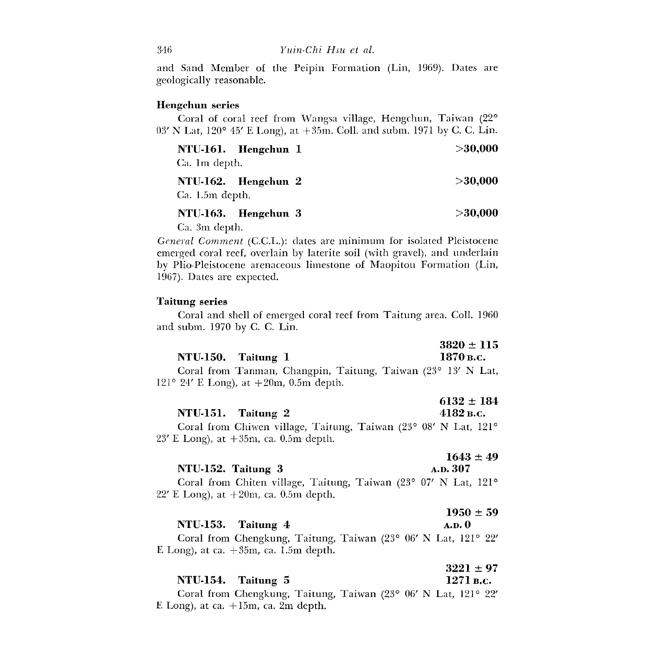and Sand Member of the Peipin Formation (Lin, 1969). Dates are geologically reasonable.

#### Hengchun series

Coral of coral reef from Wangsa village, Hengchun, Taiwan (22°  $03'$  N Lat,  $120^{\circ}$  45' E Long), at  $+35$ m. Coll. and subm. 1971 by C. C. Lin.

| NTU-161. Hengchun I<br>Ca. 1m depth.   | > 30,000   |
|----------------------------------------|------------|
| NTU-162. Hengchun 2<br>Ca. 1.5m depth. | $>$ 30.000 |
| NTU-163. Hengchun 3                    | >30,000    |

Ca. 3m depth.

General Comment (C.C.L.): dates are minimum for isolated Pleistocene emerged coral reef, overlain by laterite soil (with gravel), and underlain by Plio-Pleistocene arenaceous limestone of Maopitou Formation (Lin, 1967). Dates are expected.

#### Taitung series

Coral and shell of emerged coral reef from Taitung area. Coll. 1960 and subm. 1970 by C. C. Lin.

|                    |  |  |  | $3820 \pm 115$ |
|--------------------|--|--|--|----------------|
| NTU-150. Taitung 1 |  |  |  | 1870 в.с.      |
|                    |  |  |  |                |

Coral from Tanman, Changpin, Taitung, Taiwan (23° 13' N Lat, 121° 24′ E Long), at  $+20m$ , 0.5m depth.

|                    | $6132 \pm 184$ |
|--------------------|----------------|
| NTU-151. Taitung 2 | $4182$ B.C.    |

Coral from Chiwen village, Taitung, Taiwan (23° 08' N Lat, 121°  $23'$  E Long), at  $+35$ m, ca. 0.5m depth.

# $1643 \pm 49$ NTU-152. Taitung 3 A.D. 307

Coral from Chiten village, Taitung, Taiwan (23° 07' N Lat, 121° 22' E Long), at  $+20m$ , ca. 0.5m depth.

|                    | $1950 \pm 59$ |
|--------------------|---------------|
| NTU-153. Taitung 4 | A.D. 0        |

Coral from Chengkung, Taitung, Taiwan (23° 06' N Lat, 121° 22' E Long), at ca.  $+35m$ , ca. 1.5m depth.

|                    | $3221 \pm 97$                     |
|--------------------|-----------------------------------|
| NTU-154. Taitung 5 | 1271 в.с.                         |
|                    | (0.000, 0.01, 3.7, 7, 0.01, 0.01) |

Coral from Chengkung, Taitung, Taiwan (23° 06' N Lat, 121° 22' E Long), at ca.  $+15m$ , ca. 2m depth.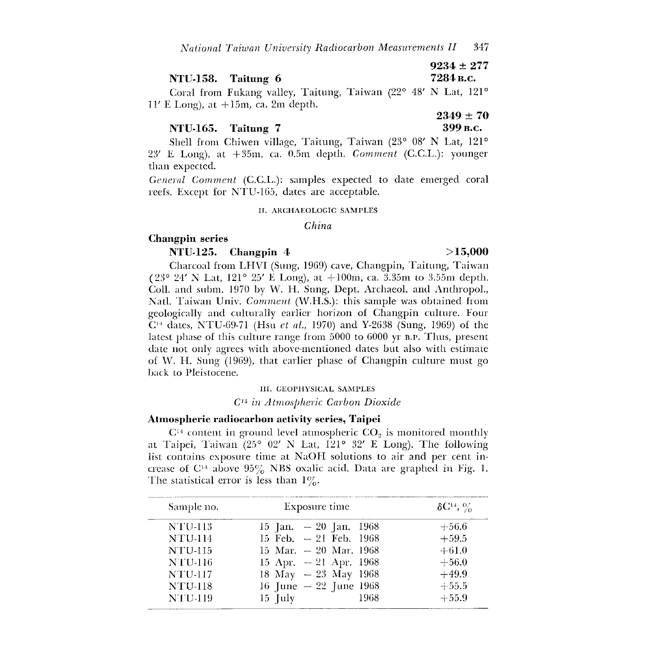|                    | $9234 \pm 277$ |
|--------------------|----------------|
| NTU-158. Taitung 6 | 7284 в.с.      |

Coral from Fukang valley, Taitung, Taiwan (22° 48' N Lat, 121°  $11'$  E Long), at  $+15$ m, ca. 2m depth.

| NTU-165. Taitung 7 |  |
|--------------------|--|
|--------------------|--|

 $2349 \pm 70$ 399 B.c.

Shell from Chiwen village, Taitung, Taiwan (23° 08' N Lat, 121° 23' E Long), at +35m, ca. 0.5m depth. Comment (C.C.L.): younger than expected.

General Comment (C.C.L.): samples expected to date emerged coral reefs. Except for NTU-165, dates are acceptable.

#### If. ARCHAEOLOGIC SAMPLES

#### China

#### Changpin series

#### NTU-125. Changpin 4

Charcoal from LHVI (Sung, 1969) cave, Changpin, Taitung, Taiwan (23° 24' N Lat, 121° 25' E Long), at  $+100$ m, ca. 3.35m to 3.55m depth. Coll. and subm. 1970 by W. H. Sung, Dept. Archaeol. and Anthropol., Natl. Taiwan Univ. Comment (W.H.S.): this sample was obtained from geologically and culturally earlier horizon of Changpin culture. Four  $C<sup>14</sup>$  dates, NTU-69-71 (Hsu *et al.*, 1970) and Y-2638 (Sung, 1969) of the latest phase of this culture range from 5000 to 6000 yr B.P. Thus, present date not only agrees with above-mentioned dates but also with estimate of W. H. Sung  $(1969)$ , that earlier phase of Changpin culture must go back to Pleistocene.

#### 111. GEOPHYSICAL SAMPLES

#### C14 in Atmospheric Carbon Dioxide

#### Atmospheric radiocarbon activity series, Taipei

 $C<sup>14</sup>$  content in ground level atmospheric  $CO<sub>2</sub>$  is monitored monthly at Taipei, Taiwan (25° 02' N Lat, 121° 32' E Long). The following list contains exposure time at NaOH solutions to air and per cent increase of  $C^{14}$  above  $95\%$  NBS oxalic acid. Data are graphed in Fig. 1. The statistical error is less than  $1\%$ .

| Sample no.     | Exposure time           | $\delta C^{14}$ , % |
|----------------|-------------------------|---------------------|
| <b>NTU-113</b> | 15 Jan. $-20$ Jan. 1968 | $+56.6$             |
| <b>NTU-114</b> | 15 Feb. $-21$ Feb. 1968 | $+59.5$             |
| <b>NTU-115</b> | 15 Mar. $-20$ Mar. 1968 | $+61.0$             |
| <b>NTU-116</b> | 15 Apr. $-21$ Apr. 1968 | $+56.0$             |
| <b>NTU-117</b> | 18 May $-23$ May 1968   | $+49.9$             |
| <b>NTU-118</b> | 16 June $-22$ June 1968 | $+55.5$             |
| <b>NTU-119</b> | 1968<br>$15$ [uly       | $+55.9$             |

#### >15,000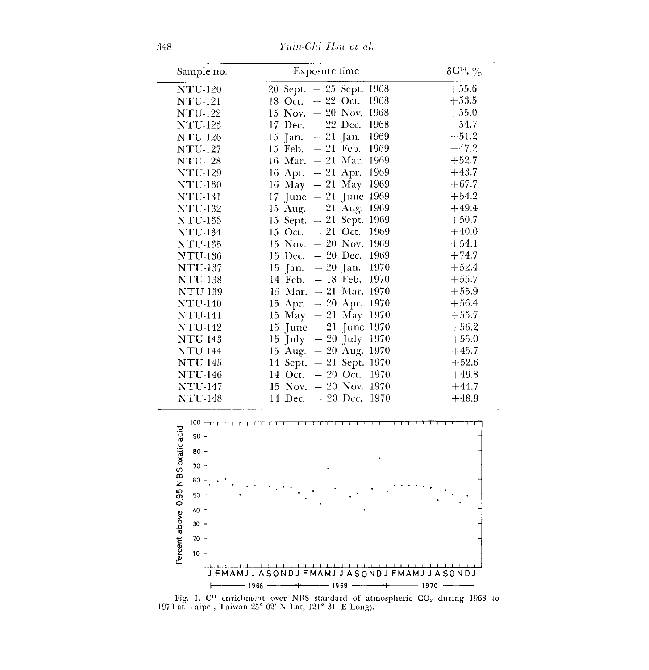348 l'uin-Chi Hsu et al.

| Sample no.     | Exposure time                               | $\delta C^{14}$ , $\%$ |
|----------------|---------------------------------------------|------------------------|
| <b>NTU-120</b> | 20 Sept. - 25 Sept. 1968                    | $+55.6$                |
| <b>NTU-121</b> | 18 Oct. $-22$ Oct.<br>1968                  | $+53.5$                |
| $NTU-122$      | 15 Nov. $-20$ Nov. 1968                     | $+55.0$                |
| <b>NTU-123</b> | 17 Dec. $-22$ Dec.<br>1968                  | $+54.7$                |
| <b>NTU-126</b> | 1969<br>$15 \text{ Jan.} - 21 \text{ Jan.}$ | $+51.2$                |
| <b>NTU-127</b> | $15$ Feb. $-21$ Feb.<br>1969                | $+47.2$                |
| <b>NTU-128</b> | 16 Mar. $-21$ Mar. 1969                     | $+52.7$                |
| <b>NTU-129</b> | 16 Apr. $-21$ Apr.<br>1969                  | $+43.7$                |
| <b>NTU-130</b> | 16 May - 21 May 1969                        | $+67.7$                |
| NTU-131        | 17 June $-21$ June 1969                     | $+54.2$                |
| <b>NTU-132</b> | 15 Aug. $-21$ Aug. 1969                     | $+49.4$                |
| <b>NTU-133</b> | 15 Sept. $-21$ Sept.<br>1969                | $+50.7$                |
| <b>NTU-134</b> | 15 Oct. $-21$ Oct.<br>1969                  | $+40.0$                |
| <b>NTU-135</b> | 15 Nov. $-20$ Nov. 1969                     | $+54.1$                |
| <b>NTU-136</b> | 15 Dec. $-20$ Dec.<br>1969                  | $+74.7$                |
| <b>NTU-137</b> | 15 Jan. $-20$ Jan.<br>1970                  | $+52.4$                |
| <b>NTU-138</b> | $14 \text{ Feb.} - 18 \text{ Feb.}$<br>1970 | $+55.7$                |
| <b>NTU-139</b> | 15 Mar. $-21$ Mar. 1970                     | $+55.9$                |
| <b>NTU-140</b> | 15 Apr. $-20$ Apr.<br>1970                  | $+56.4$                |
| <b>NTU-141</b> | 15 May $-21$ May 1970                       | $+55.7$                |
| <b>NTU-142</b> | 15 June $-21$ June 1970                     | $+56.2$                |
| <b>NTU-143</b> | $15 \text{ July } - 20 \text{ July } 1970$  | $+55.0$                |
| <b>NTU-144</b> | 15 Aug. $-20$ Aug. 1970                     | $+45.7$                |
| <b>NTU-145</b> | 14 Sept. - 21 Sept. 1970                    | $+52.6$                |
| <b>NTU-146</b> | 14 Oct. - 20 Oct. 1970                      | $+49.8$                |
| <b>NTU-147</b> | 15 Nov. $-20$ Nov. 1970                     | $+44.7$                |
| <b>NTU-148</b> | 14 Dec. $-20$ Dec. 1970                     | $+48.9$                |



Fig. 1.  $C^{14}$  enrichment over NBS standard of atmospheric  $CO_2$  during 1968 to 1970 at Taipei, Taiwan 25' 02' N Lat, 121° 31' E Long).